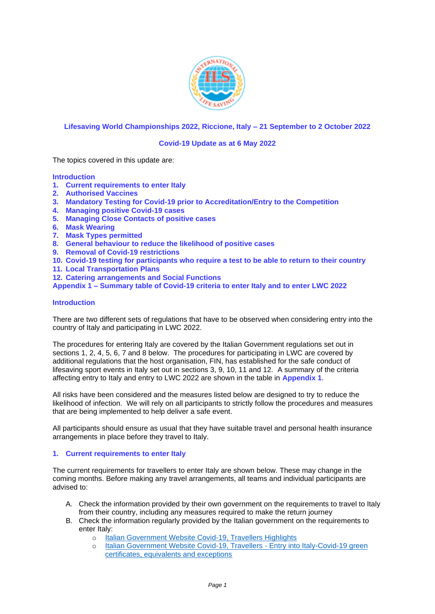

# **Lifesaving World Championships 2022, Riccione, Italy – 21 September to 2 October 2022**

## **Covid-19 Update as at 6 May 2022**

The topics covered in this update are:

#### **Introduction**

- **1. Current requirements to enter Italy**
- **2. Authorised Vaccines**
- **3. Mandatory Testing for Covid-19 prior to Accreditation/Entry to the Competition**
- **4. Managing positive Covid-19 cases**
- **5. Managing Close Contacts of positive cases**
- **6. Mask Wearing**
- **7. Mask Types permitted**
- **8. General behaviour to reduce the likelihood of positive cases**
- **9. Removal of Covid-19 restrictions**
- **10. Covid-19 testing for participants who require a test to be able to return to their country**
- **11. Local Transportation Plans**
- **12. Catering arrangements and Social Functions**

**Appendix 1 – Summary table of Covid-19 criteria to enter Italy and to enter LWC 2022**

## **Introduction**

There are two different sets of regulations that have to be observed when considering entry into the country of Italy and participating in LWC 2022.

The procedures for entering Italy are covered by the Italian Government regulations set out in sections 1, 2, 4, 5, 6, 7 and 8 below. The procedures for participating in LWC are covered by additional regulations that the host organisation, FIN, has established for the safe conduct of lifesaving sport events in Italy set out in sections 3, 9, 10, 11 and 12. A summary of the criteria affecting entry to Italy and entry to LWC 2022 are shown in the table in **Appendix 1**.

All risks have been considered and the measures listed below are designed to try to reduce the likelihood of infection. We will rely on all participants to strictly follow the procedures and measures that are being implemented to help deliver a safe event.

All participants should ensure as usual that they have suitable travel and personal health insurance arrangements in place before they travel to Italy.

#### **1. Current requirements to enter Italy**

The current requirements for travellers to enter Italy are shown below. These may change in the coming months. Before making any travel arrangements, all teams and individual participants are advised to:

- A. Check the information provided by their own government on the requirements to travel to Italy from their country, including any measures required to make the return journey
- B. Check the information regularly provided by the Italian government on the requirements to enter Italy:
	- o [Italian Government Website Covid-19, Travellers Highlights](https://www.salute.gov.it/portale/nuovocoronavirus/dettaglioContenutiNuovoCoronavirus.jsp?lingua=english&id=5412&area=nuovoCoronavirus&menu=vuoto)
	- o [Italian Government Website Covid-19, Travellers -](https://www.salute.gov.it/portale/nuovocoronavirus/dettaglioContenutiNuovoCoronavirus.jsp?lingua=english&id=5412&area=nuovoCoronavirus&menu=vuoto&tab=1) Entry into Italy-Covid-19 green [certificates, equivalents and exceptions](https://www.salute.gov.it/portale/nuovocoronavirus/dettaglioContenutiNuovoCoronavirus.jsp?lingua=english&id=5412&area=nuovoCoronavirus&menu=vuoto&tab=1)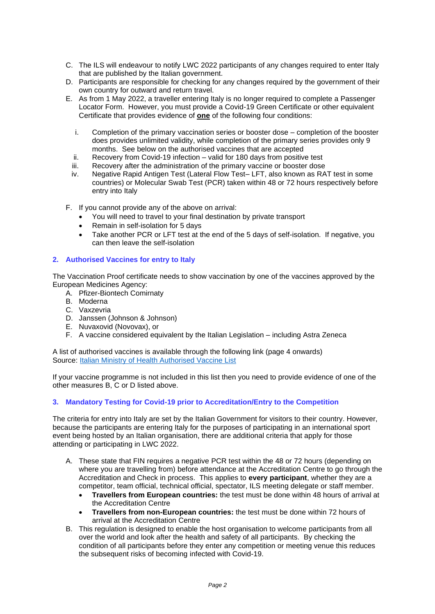- C. The ILS will endeavour to notify LWC 2022 participants of any changes required to enter Italy that are published by the Italian government.
- D. Participants are responsible for checking for any changes required by the government of their own country for outward and return travel.
- E. As from 1 May 2022, a traveller entering Italy is no longer required to complete a Passenger Locator Form. However, you must provide a Covid-19 Green Certificate or other equivalent Certificate that provides evidence of **one** of the following four conditions:
	- i. Completion of the primary vaccination series or booster dose completion of the booster does provides unlimited validity, while completion of the primary series provides only 9 months. See below on the authorised vaccines that are accepted
	- ii. Recovery from Covid-19 infection valid for 180 days from positive test
	- iii. Recovery after the administration of the primary vaccine or booster dose
	- iv. Negative Rapid Antigen Test (Lateral Flow Test– LFT, also known as RAT test in some countries) or Molecular Swab Test (PCR) taken within 48 or 72 hours respectively before entry into Italy
- F. If you cannot provide any of the above on arrival:
	- You will need to travel to your final destination by private transport
	- Remain in self-isolation for 5 days
	- Take another PCR or LFT test at the end of the 5 days of self-isolation. If negative, you can then leave the self-isolation

## **2. Authorised Vaccines for entry to Italy**

The Vaccination Proof certificate needs to show vaccination by one of the vaccines approved by the European Medicines Agency:

- A. Pfizer-Biontech Comirnaty
- B. Moderna
- C. Vaxzevria
- D. Janssen (Johnson & Johnson)
- E. Nuvaxovid (Novovax), or
- F. A vaccine considered equivalent by the Italian Legislation including Astra Zeneca

A list of authorised vaccines is available through the following link (page 4 onwards) Source: [Italian Ministry of Health Authorised Vaccine List](https://www.trovanorme.salute.gov.it/norme/renderNormsanPdf?anno=2021&codLeg=82920&parte=1%20&serie=null)

If your vaccine programme is not included in this list then you need to provide evidence of one of the other measures B, C or D listed above.

# **3. Mandatory Testing for Covid-19 prior to Accreditation/Entry to the Competition**

The criteria for entry into Italy are set by the Italian Government for visitors to their country. However, because the participants are entering Italy for the purposes of participating in an international sport event being hosted by an Italian organisation, there are additional criteria that apply for those attending or participating in LWC 2022.

- A. These state that FIN requires a negative PCR test within the 48 or 72 hours (depending on where you are travelling from) before attendance at the Accreditation Centre to go through the Accreditation and Check in process. This applies to **every participant**, whether they are a competitor, team official, technical official, spectator, ILS meeting delegate or staff member.
	- **Travellers from European countries:** the test must be done within 48 hours of arrival at the Accreditation Centre
	- **Travellers from non-European countries:** the test must be done within 72 hours of arrival at the Accreditation Centre
- B. This regulation is designed to enable the host organisation to welcome participants from all over the world and look after the health and safety of all participants. By checking the condition of all participants before they enter any competition or meeting venue this reduces the subsequent risks of becoming infected with Covid-19.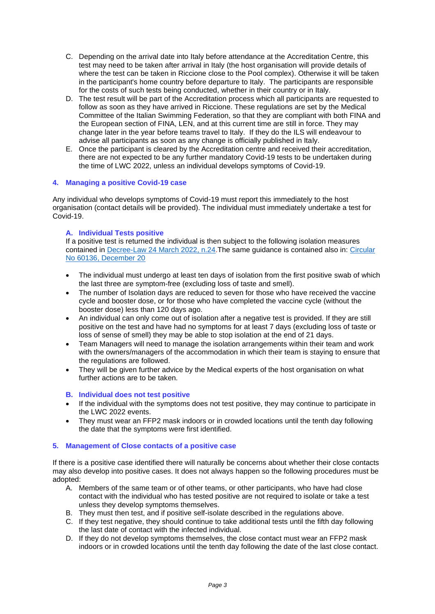- C. Depending on the arrival date into Italy before attendance at the Accreditation Centre, this test may need to be taken after arrival in Italy (the host organisation will provide details of where the test can be taken in Riccione close to the Pool complex). Otherwise it will be taken in the participant's home country before departure to Italy. The participants are responsible for the costs of such tests being conducted, whether in their country or in Italy.
- D. The test result will be part of the Accreditation process which all participants are requested to follow as soon as they have arrived in Riccione. These regulations are set by the Medical Committee of the Italian Swimming Federation, so that they are compliant with both FINA and the European section of FINA, LEN, and at this current time are still in force. They may change later in the year before teams travel to Italy. If they do the ILS will endeavour to advise all participants as soon as any change is officially published in Italy.
- E. Once the participant is cleared by the Accreditation centre and received their accreditation, there are not expected to be any further mandatory Covid-19 tests to be undertaken during the time of LWC 2022, unless an individual develops symptoms of Covid-19.

# **4. Managing a positive Covid-19 case**

Any individual who develops symptoms of Covid-19 must report this immediately to the host organisation (contact details will be provided). The individual must immediately undertake a test for Covid-19.

#### **A. Individual Tests positive**

If a positive test is returned the individual is then subject to the following isolation measures contained in [Decree-Law 24 March 2022, n.24.](https://www.trovanorme.salute.gov.it/norme/dettaglioAtto?id=86394&articolo=1)The same guidance is contained also in: [Circular](https://www.salute.gov.it/portale/nuovocoronavirus/dettaglioFaqNuovoCoronavirus.jsp?id=244)  [No 60136, December 20](https://www.salute.gov.it/portale/nuovocoronavirus/dettaglioFaqNuovoCoronavirus.jsp?id=244)

- The individual must undergo at least ten days of isolation from the first positive swab of which the last three are symptom-free (excluding loss of taste and smell).
- The number of Isolation days are reduced to seven for those who have received the vaccine cycle and booster dose, or for those who have completed the vaccine cycle (without the booster dose) less than 120 days ago.
- An individual can only come out of isolation after a negative test is provided. If they are still positive on the test and have had no symptoms for at least 7 days (excluding loss of taste or loss of sense of smell) they may be able to stop isolation at the end of 21 days.
- Team Managers will need to manage the isolation arrangements within their team and work with the owners/managers of the accommodation in which their team is staying to ensure that the regulations are followed.
- They will be given further advice by the Medical experts of the host organisation on what further actions are to be taken.

#### **B. Individual does not test positive**

- If the individual with the symptoms does not test positive, they may continue to participate in the LWC 2022 events.
- They must wear an FFP2 mask indoors or in crowded locations until the tenth day following the date that the symptoms were first identified.

#### **5. Management of Close contacts of a positive case**

If there is a positive case identified there will naturally be concerns about whether their close contacts may also develop into positive cases. It does not always happen so the following procedures must be adopted:

- A. Members of the same team or of other teams, or other participants, who have had close contact with the individual who has tested positive are not required to isolate or take a test unless they develop symptoms themselves.
- B. They must then test, and if positive self-isolate described in the regulations above.
- C. If they test negative, they should continue to take additional tests until the fifth day following the last date of contact with the infected individual.
- D. If they do not develop symptoms themselves, the close contact must wear an FFP2 mask indoors or in crowded locations until the tenth day following the date of the last close contact.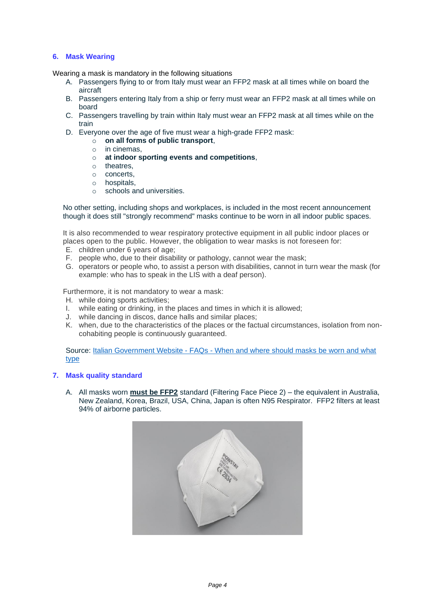# **6. Mask Wearing**

Wearing a mask is mandatory in the following situations

- A. Passengers flying to or from Italy must wear an FFP2 mask at all times while on board the aircraft
- B. Passengers entering Italy from a ship or ferry must wear an FFP2 mask at all times while on board
- C. Passengers travelling by train within Italy must wear an FFP2 mask at all times while on the train
- D. Everyone over the age of five must wear a high-grade FFP2 mask:
	- o **on all forms of public transport**,
	- $\circ$  in cinemas.
	- o **at indoor sporting events and competitions**,
	- o theatres,
	- o concerts,
	- o hospitals,
	- o schools and universities.

No other setting, including shops and workplaces, is included in the most recent announcement though it does still "strongly recommend" masks continue to be worn in all indoor public spaces.

It is also recommended to wear respiratory protective equipment in all public indoor places or places open to the public. However, the obligation to wear masks is not foreseen for:

- E. children under 6 years of age;
- F. people who, due to their disability or pathology, cannot wear the mask;
- G. operators or people who, to assist a person with disabilities, cannot in turn wear the mask (for example: who has to speak in the LIS with a deaf person).

Furthermore, it is not mandatory to wear a mask:

- H. while doing sports activities;
- I. while eating or drinking, in the places and times in which it is allowed;
- J. while dancing in discos, dance halls and similar places;
- K. when, due to the characteristics of the places or the factual circumstances, isolation from noncohabiting people is continuously guaranteed.

Source: Italian Government Website - FAQs - [When and where should masks be worn and what](https://www.governo.it/it/articolo/domande-frequenti-sulle-misure-adottate-dal-governo/15638)  [type](https://www.governo.it/it/articolo/domande-frequenti-sulle-misure-adottate-dal-governo/15638)

#### **7. Mask quality standard**

A. All masks worn **must be FFP2** standard (Filtering Face Piece 2) – the equivalent in Australia, New Zealand, Korea, Brazil, USA, China, Japan is often N95 Respirator. FFP2 filters at least 94% of airborne particles.

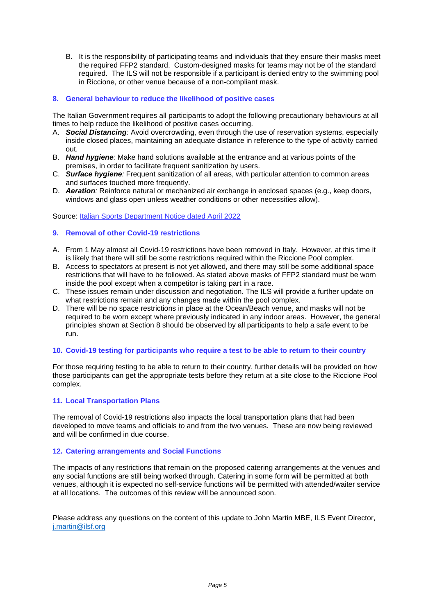B. It is the responsibility of participating teams and individuals that they ensure their masks meet the required FFP2 standard. Custom-designed masks for teams may not be of the standard required. The ILS will not be responsible if a participant is denied entry to the swimming pool in Riccione, or other venue because of a non-compliant mask.

## **8. General behaviour to reduce the likelihood of positive cases**

The Italian Government requires all participants to adopt the following precautionary behaviours at all times to help reduce the likelihood of positive cases occurring.

- A. *Social Distancing:* Avoid overcrowding, even through the use of reservation systems, especially inside closed places, maintaining an adequate distance in reference to the type of activity carried out.
- B. *Hand hygiene:* Make hand solutions available at the entrance and at various points of the premises, in order to facilitate frequent sanitization by users.
- C. *Surface hygiene:* Frequent sanitization of all areas, with particular attention to common areas and surfaces touched more frequently.
- D. *Aeration:* Reinforce natural or mechanized air exchange in enclosed spaces (e.g., keep doors, windows and glass open unless weather conditions or other necessities allow).

Source: [Italian Sports Department Notice dated April 2022](https://www.sport.governo.it/it/emergenza-covid-19/avviso-del-29-aprile-2022/)

#### **9. Removal of other Covid-19 restrictions**

- A. From 1 May almost all Covid-19 restrictions have been removed in Italy. However, at this time it is likely that there will still be some restrictions required within the Riccione Pool complex.
- B. Access to spectators at present is not yet allowed, and there may still be some additional space restrictions that will have to be followed. As stated above masks of FFP2 standard must be worn inside the pool except when a competitor is taking part in a race.
- C. These issues remain under discussion and negotiation. The ILS will provide a further update on what restrictions remain and any changes made within the pool complex.
- D. There will be no space restrictions in place at the Ocean/Beach venue, and masks will not be required to be worn except where previously indicated in any indoor areas. However, the general principles shown at Section 8 should be observed by all participants to help a safe event to be run.

#### **10. Covid-19 testing for participants who require a test to be able to return to their country**

For those requiring testing to be able to return to their country, further details will be provided on how those participants can get the appropriate tests before they return at a site close to the Riccione Pool complex.

#### **11. Local Transportation Plans**

The removal of Covid-19 restrictions also impacts the local transportation plans that had been developed to move teams and officials to and from the two venues. These are now being reviewed and will be confirmed in due course.

#### **12. Catering arrangements and Social Functions**

The impacts of any restrictions that remain on the proposed catering arrangements at the venues and any social functions are still being worked through. Catering in some form will be permitted at both venues, although it is expected no self-service functions will be permitted with attended/waiter service at all locations. The outcomes of this review will be announced soon.

Please address any questions on the content of this update to John Martin MBE, ILS Event Director, [j.martin@ilsf.org](mailto:j.martin@ilsf.org)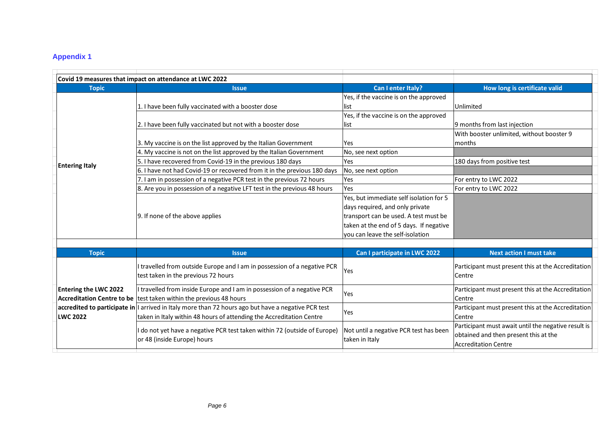# **Appendix 1**

|                                                 | Covid 19 measures that impact on attendance at LWC 2022                                                                                                                     |                                                                                          |                                                                                                                             |
|-------------------------------------------------|-----------------------------------------------------------------------------------------------------------------------------------------------------------------------------|------------------------------------------------------------------------------------------|-----------------------------------------------------------------------------------------------------------------------------|
| <b>Topic</b>                                    | <b>Issue</b>                                                                                                                                                                | Can I enter Italy?                                                                       | How long is certificate valid                                                                                               |
| <b>Entering Italy</b>                           | 1. I have been fully vaccinated with a booster dose                                                                                                                         | Yes, if the vaccine is on the approved<br>list<br>Yes, if the vaccine is on the approved | Unlimited                                                                                                                   |
|                                                 | 2. I have been fully vaccinated but not with a booster dose                                                                                                                 | list                                                                                     | 9 months from last injection                                                                                                |
|                                                 | 3. My vaccine is on the list approved by the Italian Government                                                                                                             | <b>Yes</b>                                                                               | With booster unlimited, without booster 9<br>months                                                                         |
|                                                 | $\vert$ 4. My vaccine is not on the list approved by the Italian Government<br>5. I have recovered from Covid-19 in the previous 180 days                                   | No, see next option<br>Yes                                                               | 180 days from positive test                                                                                                 |
|                                                 | 6. I have not had Covid-19 or recovered from it in the previous 180 days                                                                                                    | No, see next option                                                                      |                                                                                                                             |
|                                                 | 7. I am in possession of a negative PCR test in the previous 72 hours                                                                                                       | Yes                                                                                      | For entry to LWC 2022                                                                                                       |
|                                                 | 8. Are you in possession of a negative LFT test in the previous 48 hours                                                                                                    | Yes                                                                                      | For entry to LWC 2022                                                                                                       |
|                                                 |                                                                                                                                                                             | Yes, but immediate self isolation for 5<br>days required, and only private               |                                                                                                                             |
|                                                 | 9. If none of the above applies                                                                                                                                             | transport can be used. A test must be<br>taken at the end of 5 days. If negative         |                                                                                                                             |
|                                                 |                                                                                                                                                                             | you can leave the self-isolation                                                         |                                                                                                                             |
| <b>Topic</b>                                    | <b>Issue</b>                                                                                                                                                                | Can I participate in LWC 2022                                                            | <b>Next action I must take</b>                                                                                              |
| <b>Entering the LWC 2022</b><br><b>LWC 2022</b> | I travelled from outside Europe and I am in possession of a negative PCR<br>test taken in the previous 72 hours                                                             | Yes                                                                                      | Participant must present this at the Accreditation<br>Centre                                                                |
|                                                 | I travelled from inside Europe and I am in possession of a negative PCR<br>Accreditation Centre to be test taken within the previous 48 hours                               | Yes                                                                                      | Participant must present this at the Accreditation<br>Centre                                                                |
|                                                 | accredited to participate in   arrived in Italy more than 72 hours ago but have a negative PCR test<br>taken in Italy within 48 hours of attending the Accreditation Centre | Yes                                                                                      | Participant must present this at the Accreditation<br>Centre                                                                |
|                                                 | I do not yet have a negative PCR test taken within 72 (outside of Europe)<br>or 48 (inside Europe) hours                                                                    | Not until a negative PCR test has been<br>taken in Italy                                 | Participant must await until the negative result is<br>obtained and then present this at the<br><b>Accreditation Centre</b> |